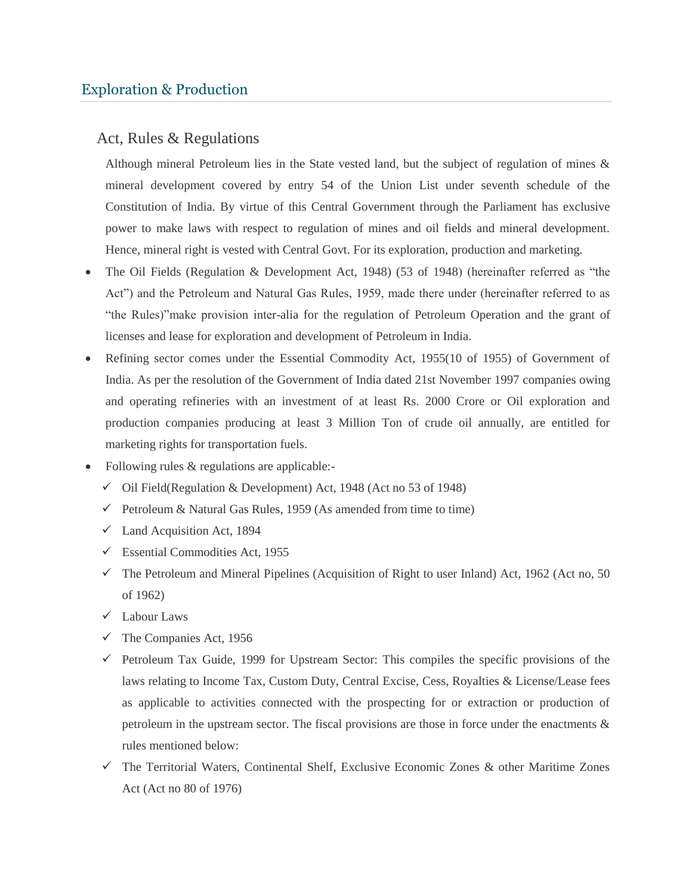## Act, Rules & Regulations

Although mineral Petroleum lies in the State vested land, but the subject of regulation of mines & mineral development covered by entry 54 of the Union List under seventh schedule of the Constitution of India. By virtue of this Central Government through the Parliament has exclusive power to make laws with respect to regulation of mines and oil fields and mineral development. Hence, mineral right is vested with Central Govt. For its exploration, production and marketing.

- The Oil Fields (Regulation & Development Act, 1948) (53 of 1948) (hereinafter referred as "the Act") and the Petroleum and Natural Gas Rules, 1959, made there under (hereinafter referred to as "the Rules)"make provision inter-alia for the regulation of Petroleum Operation and the grant of licenses and lease for exploration and development of Petroleum in India.
- Refining sector comes under the Essential Commodity Act, 1955(10 of 1955) of Government of India. As per the resolution of the Government of India dated 21st November 1997 companies owing and operating refineries with an investment of at least Rs. 2000 Crore or Oil exploration and production companies producing at least 3 Million Ton of crude oil annually, are entitled for marketing rights for transportation fuels.
- Following rules & regulations are applicable:-
	- $\checkmark$  Oil Field(Regulation & Development) Act, 1948 (Act no 53 of 1948)
	- $\checkmark$  Petroleum & Natural Gas Rules, 1959 (As amended from time to time)
	- $\checkmark$  Land Acquisition Act, 1894
	- $\checkmark$  Essential Commodities Act, 1955
	- $\checkmark$  The Petroleum and Mineral Pipelines (Acquisition of Right to user Inland) Act, 1962 (Act no, 50 of 1962)
	- Labour Laws
	- $\checkmark$  The Companies Act, 1956
	- $\checkmark$  Petroleum Tax Guide, 1999 for Upstream Sector: This compiles the specific provisions of the laws relating to Income Tax, Custom Duty, Central Excise, Cess, Royalties & License/Lease fees as applicable to activities connected with the prospecting for or extraction or production of petroleum in the upstream sector. The fiscal provisions are those in force under the enactments & rules mentioned below:
	- $\checkmark$  The Territorial Waters, Continental Shelf, Exclusive Economic Zones & other Maritime Zones Act (Act no 80 of 1976)